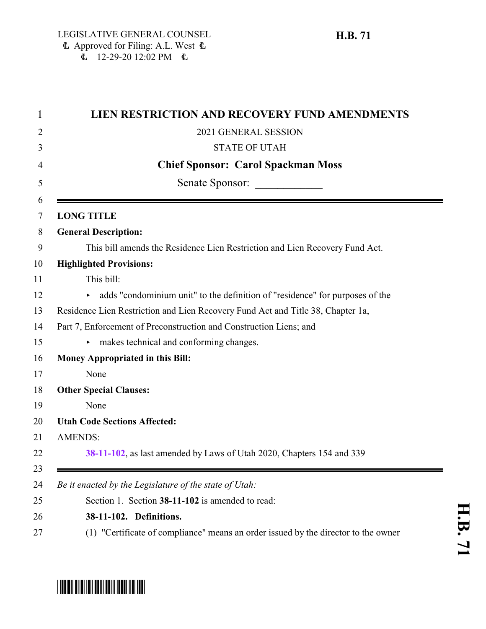| 1              | <b>LIEN RESTRICTION AND RECOVERY FUND AMENDMENTS</b>                               |
|----------------|------------------------------------------------------------------------------------|
| $\overline{2}$ | 2021 GENERAL SESSION                                                               |
| 3              | <b>STATE OF UTAH</b>                                                               |
| 4              | <b>Chief Sponsor: Carol Spackman Moss</b>                                          |
| 5              | Senate Sponsor:                                                                    |
| 6              |                                                                                    |
| 7              | <b>LONG TITLE</b>                                                                  |
| 8              | <b>General Description:</b>                                                        |
| 9              | This bill amends the Residence Lien Restriction and Lien Recovery Fund Act.        |
| 10             | <b>Highlighted Provisions:</b>                                                     |
| 11             | This bill:                                                                         |
| 12             | • adds "condominium unit" to the definition of "residence" for purposes of the     |
| 13             | Residence Lien Restriction and Lien Recovery Fund Act and Title 38, Chapter 1a,    |
| 14             | Part 7, Enforcement of Preconstruction and Construction Liens; and                 |
| 15             | makes technical and conforming changes.                                            |
| 16             | <b>Money Appropriated in this Bill:</b>                                            |
| 17             | None                                                                               |
| 18             | <b>Other Special Clauses:</b>                                                      |
| 19             | None                                                                               |
| 20             | <b>Utah Code Sections Affected:</b>                                                |
| 21             | <b>AMENDS:</b>                                                                     |
| 22             | 38-11-102, as last amended by Laws of Utah 2020, Chapters 154 and 339              |
| 23             |                                                                                    |
| 24             | Be it enacted by the Legislature of the state of Utah:                             |
| 25             | Section 1. Section 38-11-102 is amended to read:                                   |
| 26             | 38-11-102. Definitions.                                                            |
| 27             | (1) "Certificate of compliance" means an order issued by the director to the owner |

## <span id="page-0-0"></span>\*HB0071\*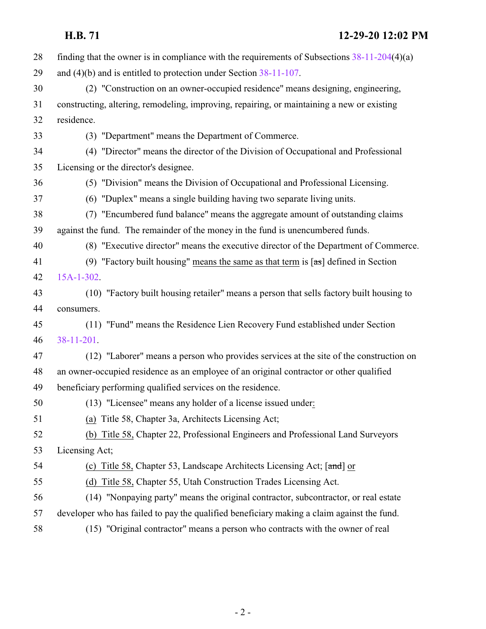| 28 | finding that the owner is in compliance with the requirements of Subsections $38-11-204(4)(a)$ |
|----|------------------------------------------------------------------------------------------------|
| 29 | and $(4)(b)$ and is entitled to protection under Section $38-11-107$ .                         |
| 30 | (2) "Construction on an owner-occupied residence" means designing, engineering,                |
| 31 | constructing, altering, remodeling, improving, repairing, or maintaining a new or existing     |
| 32 | residence.                                                                                     |
| 33 | (3) "Department" means the Department of Commerce.                                             |
| 34 | (4) "Director" means the director of the Division of Occupational and Professional             |
| 35 | Licensing or the director's designee.                                                          |
| 36 | (5) "Division" means the Division of Occupational and Professional Licensing.                  |
| 37 | (6) "Duplex" means a single building having two separate living units.                         |
| 38 | (7) "Encumbered fund balance" means the aggregate amount of outstanding claims                 |
| 39 | against the fund. The remainder of the money in the fund is unencumbered funds.                |
| 40 | (8) "Executive director" means the executive director of the Department of Commerce.           |
| 41 | (9) "Factory built housing" means the same as that term is $[\pi s]$ defined in Section        |
| 42 | $15A-1-302$ .                                                                                  |
| 43 | (10) "Factory built housing retailer" means a person that sells factory built housing to       |
| 44 | consumers.                                                                                     |
| 45 | (11) "Fund" means the Residence Lien Recovery Fund established under Section                   |
| 46 | $38-11-201$ .                                                                                  |
| 47 | (12) "Laborer" means a person who provides services at the site of the construction on         |
| 48 | an owner-occupied residence as an employee of an original contractor or other qualified        |
| 49 | beneficiary performing qualified services on the residence.                                    |
| 50 | (13) "Licensee" means any holder of a license issued under:                                    |
| 51 | (a) Title 58, Chapter 3a, Architects Licensing Act;                                            |
| 52 | (b) Title 58, Chapter 22, Professional Engineers and Professional Land Surveyors               |
| 53 | Licensing Act;                                                                                 |
| 54 | (c) Title 58, Chapter 53, Landscape Architects Licensing Act; [and] or                         |
| 55 | Title 58, Chapter 55, Utah Construction Trades Licensing Act.<br>(d)                           |
| 56 | (14) "Nonpaying party" means the original contractor, subcontractor, or real estate            |
| 57 | developer who has failed to pay the qualified beneficiary making a claim against the fund.     |
| 58 | (15) "Original contractor" means a person who contracts with the owner of real                 |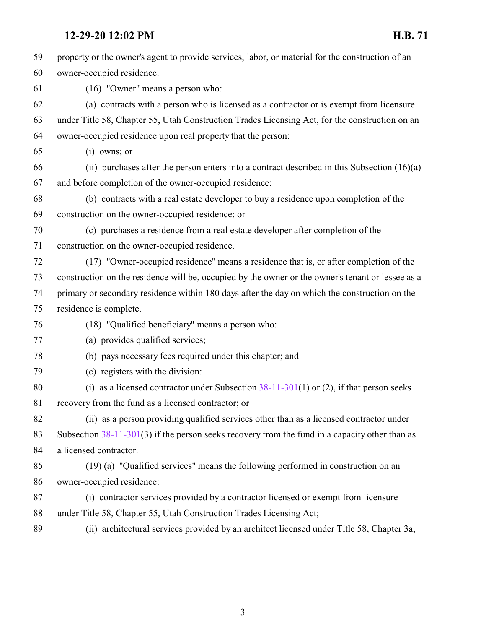**12-29-20 12:02 PM H.B. 71** property or the owner's agent to provide services, labor, or material for the construction of an owner-occupied residence. (16) "Owner" means a person who: (a) contracts with a person who is licensed as a contractor or is exempt from licensure under Title 58, Chapter 55, Utah Construction Trades Licensing Act, for the construction on an owner-occupied residence upon real property that the person: (i) owns; or (ii) purchases after the person enters into a contract described in this Subsection (16)(a) and before completion of the owner-occupied residence; (b) contracts with a real estate developer to buy a residence upon completion of the construction on the owner-occupied residence; or (c) purchases a residence from a real estate developer after completion of the construction on the owner-occupied residence. (17) "Owner-occupied residence" means a residence that is, or after completion of the construction on the residence will be, occupied by the owner or the owner's tenant or lessee as a primary or secondary residence within 180 days after the day on which the construction on the residence is complete. (18) "Qualified beneficiary" means a person who: (a) provides qualified services; (b) pays necessary fees required under this chapter; and (c) registers with the division: 80 (i) as a licensed contractor under Subsection  $38-11-301(1)$  or (2), if that person seeks recovery from the fund as a licensed contractor; or (ii) as a person providing qualified services other than as a licensed contractor under Subsection [38-11-301](http://le.utah.gov/UtahCode/SectionLookup.jsp?section=38-11-301&session=2021GS)(3) if the person seeks recovery from the fund in a capacity other than as a licensed contractor. (19) (a) "Qualified services" means the following performed in construction on an owner-occupied residence: (i) contractor services provided by a contractor licensed or exempt from licensure under Title 58, Chapter 55, Utah Construction Trades Licensing Act; (ii) architectural services provided by an architect licensed under Title 58, Chapter 3a,